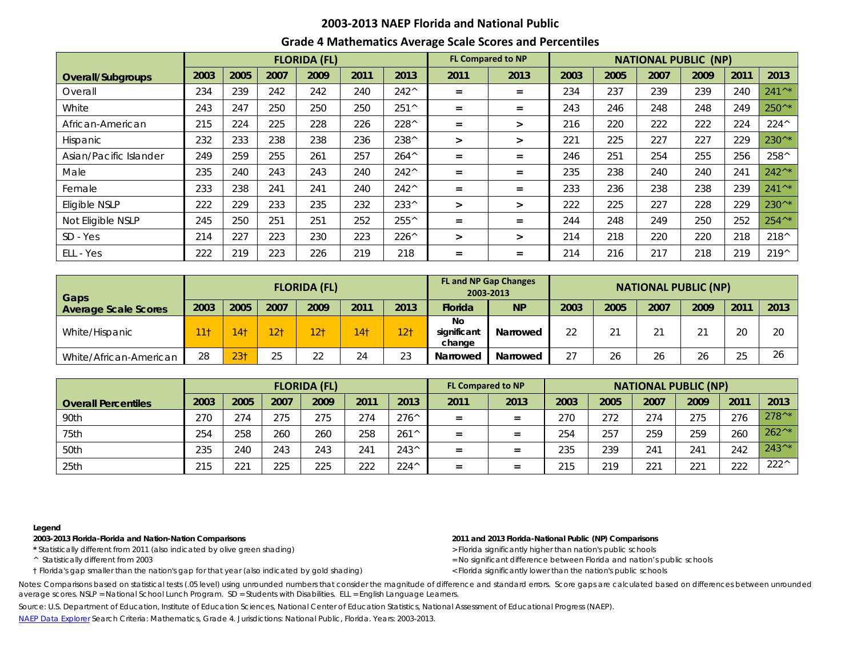## **2003-2013 NAEP Florida and National Public**

## **Grade 4 Mathematics Average Scale Scores and Percentiles**

|                        |      | <b>FLORIDA (FL)</b> |      |      |      |                |        | <b>FL Compared to NP</b> | <b>NATIONAL PUBLIC (NP)</b> |      |      |      |      |                  |  |
|------------------------|------|---------------------|------|------|------|----------------|--------|--------------------------|-----------------------------|------|------|------|------|------------------|--|
| Overall/Subgroups      | 2003 | 2005                | 2007 | 2009 | 2011 | 2013           | 2011   | 2013                     | 2003                        | 2005 | 2007 | 2009 | 2011 | 2013             |  |
| Overall                | 234  | 239                 | 242  | 242  | 240  | $242^{\wedge}$ | $=$    | $=$                      | 234                         | 237  | 239  | 239  | 240  | $241^{\wedge*}$  |  |
| White                  | 243  | 247                 | 250  | 250  | 250  | $251^{\circ}$  | $=$    | $=$                      | 243                         | 246  | 248  | 248  | 249  | 250^*            |  |
| African-American       | 215  | 224                 | 225  | 228  | 226  | 228^           | $=$    | $\geq$                   | 216                         | 220  | 222  | 222  | 224  | $224^{\wedge}$   |  |
| <b>Hispanic</b>        | 232  | 233                 | 238  | 238  | 236  | 238^           | $\geq$ | $\geq$                   | 221                         | 225  | 227  | 227  | 229  | 230^*            |  |
| Asian/Pacific Islander | 249  | 259                 | 255  | 261  | 257  | $264^{\wedge}$ | $=$    | $=$                      | 246                         | 251  | 254  | 255  | 256  | 258^             |  |
| Male                   | 235  | 240                 | 243  | 243  | 240  | $242^{\wedge}$ | $=$    | $=$                      | 235                         | 238  | 240  | 240  | 241  | $242^{\wedge *}$ |  |
| Female                 | 233  | 238                 | 241  | 241  | 240  | $242^{\wedge}$ | $=$    | $\equiv$                 | 233                         | 236  | 238  | 238  | 239  | $241^{\wedge*}$  |  |
| Eligible NSLP          | 222  | 229                 | 233  | 235  | 232  | 233^           | $\geq$ | $\geq$                   | 222                         | 225  | 227  | 228  | 229  | 230^*            |  |
| Not Eligible NSLP      | 245  | 250                 | 251  | 251  | 252  | 255^           | $=$    | $=$                      | 244                         | 248  | 249  | 250  | 252  | 254^*            |  |
| SD - Yes               | 214  | 227                 | 223  | 230  | 223  | $226^{\wedge}$ | $\geq$ | >                        | 214                         | 218  | 220  | 220  | 218  | $218^{\wedge}$   |  |
| ELL - Yes              | 222  | 219                 | 223  | 226  | 219  | 218            | $=$    | $=$                      | 214                         | 216  | 217  | 218  | 219  | $219^{\circ}$    |  |

| Gaps                        |       |                 |                 | <b>FLORIDA (FL)</b> |                 |                 |                             | <b>FL and NP Gap Changes</b><br>2003-2013 | <b>NATIONAL PUBLIC (NP)</b> |      |        |      |           |      |  |
|-----------------------------|-------|-----------------|-----------------|---------------------|-----------------|-----------------|-----------------------------|-------------------------------------------|-----------------------------|------|--------|------|-----------|------|--|
| <b>Average Scale Scores</b> | 2003  | 2005            | 2007            | 2009                | 2011            | 2013            | <b>Florida</b>              | <b>NP</b>                                 | 2003                        | 2005 | 2007   | 2009 | 2011      | 2013 |  |
| White/Hispanic              | $11+$ | 14 <sub>1</sub> | 12 <sub>1</sub> | 12 <sub>1</sub>     | 14 <sup>1</sup> | 12 <sub>1</sub> | No<br>significant<br>change | Narrowed                                  | 22                          | 21   | $\sim$ |      | 20        | 20   |  |
| White/African-American      | 28    | 23 <sub>1</sub> | 25              | 22                  | 24              | 23              | Narrowed                    | Narrowed                                  | 27                          | 26   | 26     | 26   | つら<br>ں ے | 26   |  |

|                            |      |      |      | <b>FLORIDA (FL)</b> |      |                | <b>FL Compared to NP</b> |                   | <b>NATIONAL PUBLIC (NP)</b> |      |      |      |      |                  |  |
|----------------------------|------|------|------|---------------------|------|----------------|--------------------------|-------------------|-----------------------------|------|------|------|------|------------------|--|
| <b>Overall Percentiles</b> | 2003 | 2005 | 2007 | 2009                | 2011 | 2013           | 2011                     | 2013              | 2003                        | 2005 | 2007 | 2009 | 2011 | 2013             |  |
| 90th                       | 270  | 274  | 275  | 275                 | 274  | $276^{\wedge}$ | $=$                      | $=$               | 270                         | 272  | 274  | 275  | 276  | $278^{\wedge *}$ |  |
| 75th                       | 254  | 258  | 260  | 260                 | 258  | $261^{\circ}$  | $=$                      | $=$               | 254                         | 257  | 259  | 259  | 260  | $262^{\wedge *}$ |  |
| 50th                       | 235  | 240  | 243  | 243                 | 241  | $243^{\wedge}$ | $=$                      | $=$               | 235                         | 239  | 241  | 241  | 242  | $243^{\wedge*}$  |  |
| 25th                       | 215  | 221  | 225  | 225                 | 222  | $224^{\wedge}$ | $=$                      | $\qquad \qquad =$ | 215                         | 219  | 221  | 221  | 222  | $222^{\wedge}$   |  |

### **Legend**

**2003-2013 Florida-Florida and Nation-Nation Comparisons 2011 and 2013 Florida-National Public (NP) Comparisons**

\* Statistically different from 2011 (also indicated by olive green shading) *> Florida significantly higher than nation's public schools* 

† Florida's gap smaller than the nation's gap for that year (also indicated by gold shading) < Florida significantly lower than the nation's public schools

^ Statistically different from 2003 **Exercise 2003** = No significant difference between Florida and nation's public schools

Notes: Comparisons based on statistical tests (.05 level) using unrounded numbers that consider the magnitude of difference and standard errors. Score gaps are calculated based on differences between unrounded average scores. NSLP = National School Lunch Program. SD = Students with Disabilities. ELL = English Language Learners.

Source: U.S. Department of Education, Institute of Education Sciences, National Center of Education Statistics, National Assessment of Educational Progress (NAEP).

[NAEP Data Explorer](http://nces.ed.gov/nationsreportcard/naepdata/) Search Criteria: Mathematics, Grade 4. Jurisdictions: National Public, Florida. Years: 2003-2013.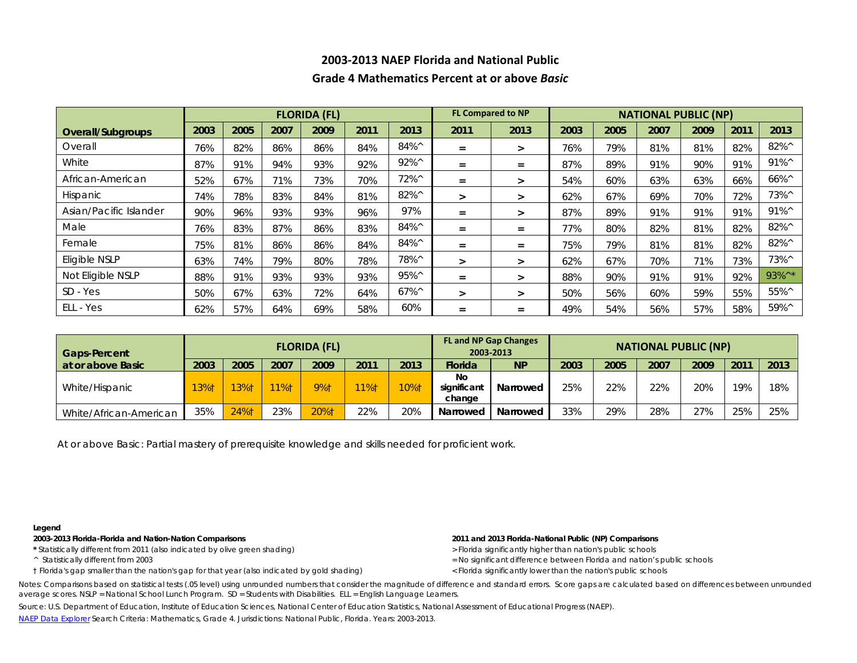# **2003-2013 NAEP Florida and National Public Grade 4 Mathematics Percent at or above** *Basic*

|                        |      |      |      | <b>FLORIDA (FL)</b> |      |                 |        | <b>FL Compared to NP</b> | <b>NATIONAL PUBLIC (NP)</b> |      |      |      |      |                 |  |
|------------------------|------|------|------|---------------------|------|-----------------|--------|--------------------------|-----------------------------|------|------|------|------|-----------------|--|
| Overall/Subgroups      | 2003 | 2005 | 2007 | 2009                | 2011 | 2013            | 2011   | 2013                     | 2003                        | 2005 | 2007 | 2009 | 2011 | 2013            |  |
| Overall                | 76%  | 82%  | 86%  | 86%                 | 84%  | 84%^            | $=$    | $\geq$                   | 76%                         | 79%  | 81%  | 81%  | 82%  | 82%^            |  |
| White                  | 87%  | 91%  | 94%  | 93%                 | 92%  | $92\%^{\wedge}$ | $=$    | $\equiv$                 | 87%                         | 89%  | 91%  | 90%  | 91%  | $91\%$          |  |
| African-American       | 52%  | 67%  | 71%  | 73%                 | 70%  | 72%^            | $=$    | $\geq$                   | 54%                         | 60%  | 63%  | 63%  | 66%  | 66%^            |  |
| Hispanic               | 74%  | 78%  | 83%  | 84%                 | 81%  | 82%^            | $\geq$ | $\geq$                   | 62%                         | 67%  | 69%  | 70%  | 72%  | 73%^            |  |
| Asian/Pacific Islander | 90%  | 96%  | 93%  | 93%                 | 96%  | 97%             | $=$    | $\geq$                   | 87%                         | 89%  | 91%  | 91%  | 91%  | $91\%^{\wedge}$ |  |
| Male                   | 76%  | 83%  | 87%  | 86%                 | 83%  | 84%^            | $=$    | $\equiv$                 | 77%                         | 80%  | 82%  | 81%  | 82%  | 82%^            |  |
| Female                 | 75%  | 81%  | 86%  | 86%                 | 84%  | 84%^            | $=$    | $=$                      | 75%                         | 79%  | 81%  | 81%  | 82%  | 82%^            |  |
| Eligible NSLP          | 63%  | 74%  | 79%  | 80%                 | 78%  | 78%^            | $\geq$ | $\geq$                   | 62%                         | 67%  | 70%  | 71%  | 73%  | 73%^            |  |
| Not Eligible NSLP      | 88%  | 91%  | 93%  | 93%                 | 93%  | 95%^            | $=$    | $\geq$                   | 88%                         | 90%  | 91%  | 91%  | 92%  | 93%^*           |  |
| SD - Yes               | 50%  | 67%  | 63%  | 72%                 | 64%  | $67\%^{\circ}$  | $\geq$ | $\geq$                   | 50%                         | 56%  | 60%  | 59%  | 55%  | 55%^            |  |
| ELL - Yes              | 62%  | 57%  | 64%  | 69%                 | 58%  | 60%             | $=$    | $=$                      | 49%                         | 54%  | 56%  | 57%  | 58%  | 59%^            |  |

| <b>Gaps-Percent</b>    |                 |                 |      | <b>FLORIDA (FL)</b> |      |             |                             | <b>FL and NP Gap Changes</b><br>2003-2013 | <b>NATIONAL PUBLIC (NP)</b> |      |      |      |                  |      |  |
|------------------------|-----------------|-----------------|------|---------------------|------|-------------|-----------------------------|-------------------------------------------|-----------------------------|------|------|------|------------------|------|--|
| at or above Basic      | 2003            | 2005            | 2007 | 2009                | 2011 | 2013        | <b>Florida</b>              | <b>NP</b>                                 | 2003                        | 2005 | 2007 | 2009 | 201              | 2013 |  |
| White/Hispanic         | $13%$ $\dagger$ | $13%$ $\dagger$ | 11%  | 9%†                 | 1%1  | <b>10%t</b> | Νo<br>significant<br>change | Narrowed                                  | 25%                         | 22%  | 22%  | 20%  | 19%              | 18%  |  |
| White/African-American | 35%             | 24%t            | 23%  | 20%1                | 22%  | 20%         | Narrowed                    | Narrowed                                  | 33%                         | 29%  | 28%  | 27%  | 250 <sub>6</sub> | 25%  |  |

At or above *Basic*: Partial mastery of prerequisite knowledge and skills needed for proficient work.

### **Legend**

**2003-2013 Florida-Florida and Nation-Nation Comparisons 2011 and 2013 Florida-National Public (NP) Comparisons**

\* Statistically different from 2011 (also indicated by olive green shading) *> Florida significantly higher than nation's public schools* 

† Florida's gap smaller than the nation's gap for that year (also indicated by gold shading) < Florida significantly lower than the nation's public schools

- ^ Statistically different from 2003 = No significant difference between Florida and nation's public schools
	-

Notes: Comparisons based on statistical tests (.05 level) using unrounded numbers that consider the magnitude of difference and standard errors. Score gaps are calculated based on differences between unrounded average scores. NSLP = National School Lunch Program. SD = Students with Disabilities. ELL = English Language Learners.

Source: U.S. Department of Education, Institute of Education Sciences, National Center of Education Statistics, National Assessment of Educational Progress (NAEP).

[NAEP Data Explorer](http://nces.ed.gov/nationsreportcard/naepdata/) Search Criteria: Mathematics, Grade 4. Jurisdictions: National Public, Florida. Years: 2003-2013.